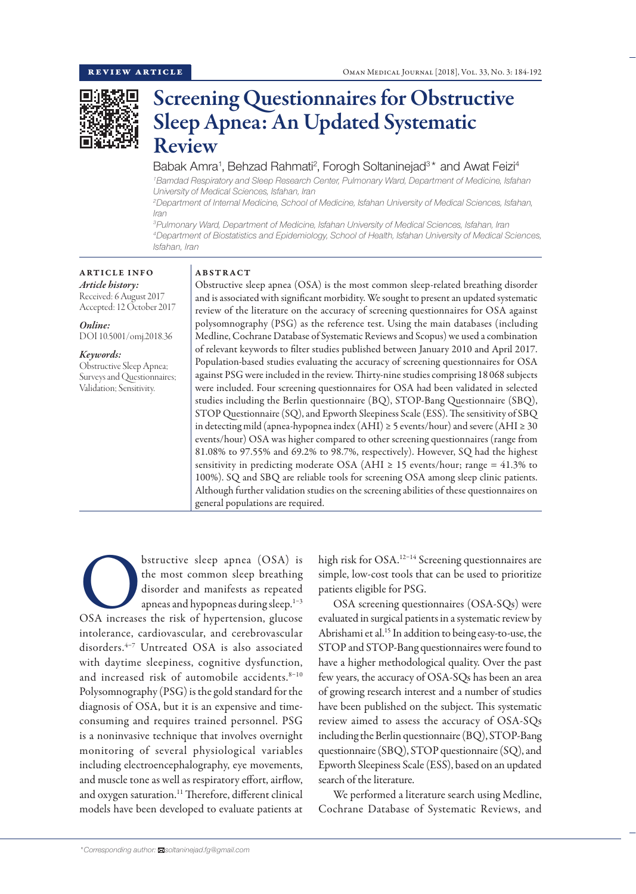

# Screening Questionnaires for Obstructive Sleep Apnea: An Updated Systematic Review

# Babak Amra<sup>1</sup>, Behzad Rahmati<sup>2</sup>, Forogh Soltaninejad<sup>3\*</sup> and Awat Feizi<sup>4</sup>

*1 Bamdad Respiratory and Sleep Research Center, Pulmonary Ward, Department of Medicine, Isfahan University of Medical Sciences, Isfahan, Iran*

*2 Department of Internal Medicine, School of Medicine, Isfahan University of Medical Sciences, Isfahan, Iran*

*3 Pulmonary Ward, Department of Medicine, Isfahan University of Medical Sciences, Isfahan, Iran 4 Department of Biostatistics and Epidemiology, School of Health, Isfahan University of Medical Sciences, Isfahan, Iran*

#### ARTICLE INFO *Article history:*

Received: 6 August 2017 Accepted: 12 October 2017

*Online:* DOI 10.5001/omj.2018.36

# *Keywords:*

Obstructive Sleep Apnea; Surveys and Questionnaires; Validation; Sensitivity.

# ABSTRACT

Obstructive sleep apnea (OSA) is the most common sleep-related breathing disorder and is associated with significant morbidity. We sought to present an updated systematic review of the literature on the accuracy of screening questionnaires for OSA against polysomnography (PSG) as the reference test. Using the main databases (including Medline, Cochrane Database of Systematic Reviews and Scopus) we used a combination of relevant keywords to filter studies published between January 2010 and April 2017. Population-based studies evaluating the accuracy of screening questionnaires for OSA against PSG were included in the review. Thirty-nine studies comprising 18 068 subjects were included. Four screening questionnaires for OSA had been validated in selected studies including the Berlin questionnaire (BQ), STOP-Bang Questionnaire (SBQ), STOP Questionnaire (SQ), and Epworth Sleepiness Scale (ESS). The sensitivity of SBQ in detecting mild (apnea-hypopnea index  $(AHI) \ge 5$  events/hour) and severe  $(AHI \ge 30$ events/hour) OSA was higher compared to other screening questionnaires (range from 81.08% to 97.55% and 69.2% to 98.7%, respectively). However, SQ had the highest sensitivity in predicting moderate OSA (AHI  $\geq$  15 events/hour; range = 41.3% to 100%). SQ and SBQ are reliable tools for screening OSA among sleep clinic patients. Although further validation studies on the screening abilities of these questionnaires on general populations are required.

bstructive sleep apnea (OSA) is<br>
the most common sleep breathing<br>
disorder and manifests as repeated<br>
apneas and hypopneas during sleep.<sup>1-3</sup><br>
OSA increases the risk of hypertension, glucose the most common sleep breathing disorder and manifests as repeated apneas and hypopneas during sleep. $1-3$ intolerance, cardiovascular, and cerebrovascular disorders.4–7 Untreated OSA is also associated with daytime sleepiness, cognitive dysfunction, and increased risk of automobile accidents.<sup>8-10</sup> Polysomnography (PSG) is the gold standard for the diagnosis of OSA, but it is an expensive and timeconsuming and requires trained personnel. PSG is a noninvasive technique that involves overnight monitoring of several physiological variables including electroencephalography, eye movements, and muscle tone as well as respiratory effort, airflow, and oxygen saturation.<sup>11</sup> Therefore, different clinical models have been developed to evaluate patients at

high risk for OSA. 12–14 Screening questionnaires are simple, low-cost tools that can be used to prioritize patients eligible for PSG.

OSA screening questionnaires (OSA-SQs) were evaluated in surgical patients in a systematic review by Abrishami et al.15 In addition to being easy-to-use, the STOP and STOP-Bang questionnaires were found to have a higher methodological quality. Over the past few years, the accuracy of OSA-SQs has been an area of growing research interest and a number of studies have been published on the subject. This systematic review aimed to assess the accuracy of OSA-SQs including the Berlin questionnaire (BQ), STOP-Bang questionnaire (SBQ), STOP questionnaire (SQ), and Epworth Sleepiness Scale (ESS), based on an updated search of the literature.

We performed a literature search using Medline, Cochrane Database of Systematic Reviews, and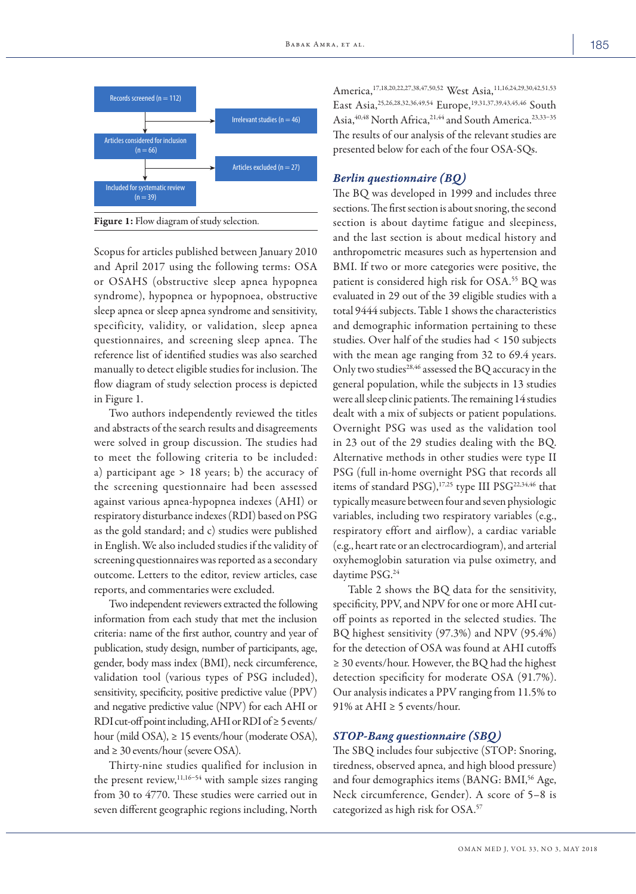

Figure 1: Flow diagram of study selection.

Scopus for articles published between January 2010 and April 2017 using the following terms: OSA or OSAHS (obstructive sleep apnea hypopnea syndrome), hypopnea or hypopnoea, obstructive sleep apnea or sleep apnea syndrome and sensitivity, specificity, validity, or validation, sleep apnea questionnaires, and screening sleep apnea. The reference list of identified studies was also searched manually to detect eligible studies for inclusion. The flow diagram of study selection process is depicted in Figure 1.

Two authors independently reviewed the titles and abstracts of the search results and disagreements were solved in group discussion. The studies had to meet the following criteria to be included: a) participant age > 18 years; b) the accuracy of the screening questionnaire had been assessed against various apnea-hypopnea indexes (AHI) or respiratory disturbance indexes (RDI) based on PSG as the gold standard; and c) studies were published in English. We also included studies if the validity of screening questionnaires was reported as a secondary outcome. Letters to the editor, review articles, case reports, and commentaries were excluded.

Two independent reviewers extracted the following information from each study that met the inclusion criteria: name of the first author, country and year of publication, study design, number of participants, age, gender, body mass index (BMI), neck circumference, validation tool (various types of PSG included), sensitivity, specificity, positive predictive value (PPV) and negative predictive value (NPV) for each AHI or RDI cut-off point including, AHI or RDI of  $\geq$  5 events/ hour (mild OSA), ≥ 15 events/hour (moderate OSA), and  $\geq$  30 events/hour (severe OSA).

Thirty-nine studies qualified for inclusion in the present review, $11,16-54$  with sample sizes ranging from 30 to 4770. These studies were carried out in seven different geographic regions including, North America,<sup>17,18,20,22,27,38,47,50,52</sup> West Asia,<sup>11,16,24,29,30,42,51,53</sup> East Asia,25,26,28,32,36,49,54 Europe,19,31,37,39,43,45,46 South Asia,<sup>40,48</sup> North Africa,<sup>21,44</sup> and South America.<sup>23,33-35</sup> The results of our analysis of the relevant studies are presented below for each of the four OSA-SQs.

# *Berlin questionnaire (BQ)*

The BQ was developed in 1999 and includes three sections. The first section is about snoring, the second section is about daytime fatigue and sleepiness, and the last section is about medical history and anthropometric measures such as hypertension and BMI. If two or more categories were positive, the patient is considered high risk for OSA. 55 BQ was evaluated in 29 out of the 39 eligible studies with a total 9444 subjects. Table 1 shows the characteristics and demographic information pertaining to these studies. Over half of the studies had < 150 subjects with the mean age ranging from 32 to 69.4 years. Only two studies<sup>28,46</sup> assessed the BQ accuracy in the general population, while the subjects in 13 studies were all sleep clinic patients. The remaining 14 studies dealt with a mix of subjects or patient populations. Overnight PSG was used as the validation tool in 23 out of the 29 studies dealing with the BQ. Alternative methods in other studies were type II PSG (full in-home overnight PSG that records all items of standard PSG),<sup>17,25</sup> type III PSG<sup>22,34,46</sup> that typically measure between four and seven physiologic variables, including two respiratory variables (e.g., respiratory effort and airflow), a cardiac variable (e.g., heart rate or an electrocardiogram), and arterial oxyhemoglobin saturation via pulse oximetry, and daytime PSG.24

Table 2 shows the BQ data for the sensitivity, specificity, PPV, and NPV for one or more AHI cutoff points as reported in the selected studies. The BQ highest sensitivity (97.3%) and NPV (95.4%) for the detection of OSA was found at AHI cutoffs ≥ 30 events/hour. However, the BQ had the highest detection specificity for moderate OSA (91.7%). Our analysis indicates a PPV ranging from 11.5% to 91% at AHI  $\geq$  5 events/hour.

#### *STOP-Bang questionnaire (SBQ)*

The SBQ includes four subjective (STOP: Snoring, tiredness, observed apnea, and high blood pressure) and four demographics items (BANG: BMI,<sup>56</sup> Age, Neck circumference, Gender). A score of 5–8 is categorized as high risk for OSA. 57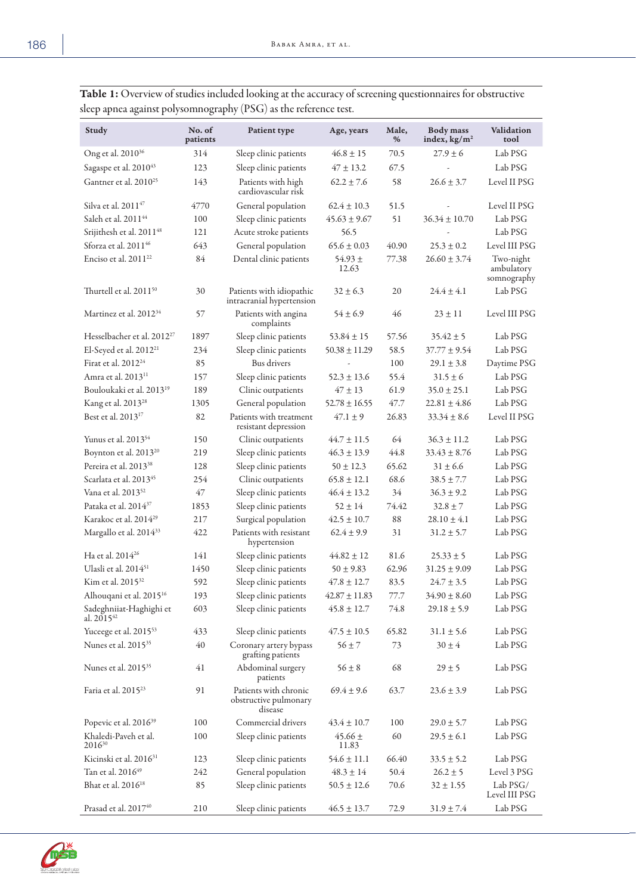| Study                                      | No. of<br>patients | Patient type                                              | Age, years           | Male,<br>% | <b>Body</b> mass<br>index, $\text{kg/m}^2$ | Validation<br>tool                     |
|--------------------------------------------|--------------------|-----------------------------------------------------------|----------------------|------------|--------------------------------------------|----------------------------------------|
| Ong et al. 2010 <sup>36</sup>              | 314                | Sleep clinic patients                                     | $46.8 \pm 15$        | 70.5       | $27.9 + 6$                                 | Lab PSG                                |
| Sagaspe et al. 2010 <sup>43</sup>          | 123                | Sleep clinic patients                                     | $47 \pm 13.2$        | 67.5       |                                            | Lab PSG                                |
| Gantner et al. 2010 <sup>25</sup>          | 143                | Patients with high<br>cardiovascular risk                 | $62.2 \pm 7.6$       | 58         | $26.6 + 3.7$                               | Level II PSG                           |
| Silva et al. 2011 <sup>47</sup>            | 4770               | General population                                        | $62.4 \pm 10.3$      | 51.5       |                                            | Level II PSG                           |
| Saleh et al. 2011 <sup>44</sup>            | 100                | Sleep clinic patients                                     | $45.63 \pm 9.67$     | 51         | $36.34 \pm 10.70$                          | Lab PSG                                |
| Srijithesh et al. 2011 <sup>48</sup>       | 121                | Acute stroke patients                                     | 56.5                 |            |                                            | Lab PSG                                |
| Sforza et al. 201146                       | 643                | General population                                        | $65.6 \pm 0.03$      | 40.90      | $25.3 \pm 0.2$                             | Level III PSG                          |
| Enciso et al. 2011 <sup>22</sup>           | 84                 | Dental clinic patients                                    | $54.93 \pm$<br>12.63 | 77.38      | $26.60 \pm 3.74$                           | Two-night<br>ambulatory<br>somnography |
| Thurtell et al. 2011 <sup>50</sup>         | 30                 | Patients with idiopathic<br>intracranial hypertension     | $32 \pm 6.3$         | 20         | $24.4 \pm 4.1$                             | Lab PSG                                |
| Martinez et al. 2012 <sup>34</sup>         | 57                 | Patients with angina<br>complaints                        | $54 \pm 6.9$         | 46         | $23 \pm 11$                                | Level III PSG                          |
| Hesselbacher et al. 2012 <sup>27</sup>     | 1897               | Sleep clinic patients                                     | $53.84 \pm 15$       | 57.56      | $35.42 \pm 5$                              | Lab PSG                                |
| El-Seyed et al. 2012 <sup>21</sup>         | 234                | Sleep clinic patients                                     | $50.38 \pm 11.29$    | 58.5       | $37.77 \pm 9.54$                           | Lab PSG                                |
| Firat et al. 2012 <sup>24</sup>            | 85                 | Bus drivers                                               |                      | 100        | $29.1 \pm 3.8$                             | Daytime PSG                            |
| Amra et al. 2013 <sup>11</sup>             | 157                | Sleep clinic patients                                     | $52.3 \pm 13.6$      | 55.4       | $31.5 \pm 6$                               | Lab PSG                                |
| Bouloukaki et al. 2013 <sup>19</sup>       | 189                | Clinic outpatients                                        | $47 \pm 13$          | 61.9       | $35.0 \pm 25.1$                            | Lab PSG                                |
| Kang et al. 2013 <sup>28</sup>             | 1305               | General population                                        | $52.78 + 16.55$      | 47.7       | $22.81 + 4.86$                             | Lab PSG                                |
| Best et al. 2013 <sup>17</sup>             | 82                 | Patients with treatment<br>resistant depression           | $47.1 \pm 9$         | 26.83      | $33.34 \pm 8.6$                            | Level II PSG                           |
| Yunus et al. 2013 <sup>54</sup>            | 150                | Clinic outpatients                                        | $44.7 \pm 11.5$      | 64         | $36.3 \pm 11.2$                            | Lab PSG                                |
| Boynton et al. 2013 <sup>20</sup>          | 219                | Sleep clinic patients                                     | $46.3 \pm 13.9$      | 44.8       | $33.43 \pm 8.76$                           | Lab PSG                                |
| Pereira et al. 2013 <sup>38</sup>          | 128                | Sleep clinic patients                                     | $50 \pm 12.3$        | 65.62      | $31 \pm 6.6$                               | Lab PSG                                |
| Scarlata et al. 2013 <sup>45</sup>         | 254                | Clinic outpatients                                        | $65.8 \pm 12.1$      | 68.6       | $38.5 \pm 7.7$                             | Lab PSG                                |
| Vana et al. 2013 <sup>52</sup>             | 47                 | Sleep clinic patients                                     | $46.4 \pm 13.2$      | 34         | $36.3 \pm 9.2$                             | Lab PSG                                |
| Pataka et al. 2014 <sup>37</sup>           | 1853               | Sleep clinic patients                                     | $52 \pm 14$          | 74.42      | $32.8 \pm 7$                               | Lab PSG                                |
| Karakoc et al. 2014 <sup>29</sup>          | 217                | Surgical population                                       | $42.5 \pm 10.7$      | 88         | $28.10 \pm 4.1$                            | Lab PSG                                |
| Margallo et al. 2014 <sup>33</sup>         | 422                | Patients with resistant<br>hypertension                   | $62.4 \pm 9.9$       | 31         | $31.2 \pm 5.7$                             | Lab PSG                                |
| Ha et al. 2014 <sup>26</sup>               | 141                | Sleep clinic patients                                     | $44.82 \pm 12$       | 81.6       | $25.33 \pm 5$                              | Lab PSG                                |
| Ulasli et al. 2014 <sup>51</sup>           | 1450               | Sleep clinic patients                                     | $50 \pm 9.83$        | 62.96      | $31.25 \pm 9.09$                           | Lab PSG                                |
| Kim et al. 2015 <sup>32</sup>              | 592                | Sleep clinic patients                                     | $47.8 \pm 12.7$      | 83.5       | $24.7 + 3.5$                               | Lab PSG                                |
| Alhouqani et al. 2015 <sup>16</sup>        | 193                | Sleep clinic patients                                     | $42.87 \pm 11.83$    | 77.7       | $34.90 \pm 8.60$                           | Lab PSG                                |
| Sadeghniiat-Haghighi et<br>al. $2015^{42}$ | 603                | Sleep clinic patients                                     | $45.8 \pm 12.7$      | 74.8       | $29.18 \pm 5.9$                            | Lab PSG                                |
| Yuceege et al. 2015 <sup>53</sup>          | 433                | Sleep clinic patients                                     | $47.5 \pm 10.5$      | 65.82      | $31.1 \pm 5.6$                             | Lab PSG                                |
| Nunes et al. 2015 <sup>35</sup>            | 40                 | Coronary artery bypass<br>grafting patients               | $56 \pm 7$           | 73         | $30\pm4$                                   | Lab PSG                                |
| Nunes et al. 2015 <sup>35</sup>            | 41                 | Abdominal surgery<br>patients                             | $56 \pm 8$           | 68         | $29 \pm 5$                                 | Lab PSG                                |
| Faria et al. 2015 <sup>23</sup>            | 91                 | Patients with chronic<br>obstructive pulmonary<br>disease | $69.4 \pm 9.6$       | 63.7       | $23.6 \pm 3.9$                             | Lab PSG                                |
| Popevic et al. 2016 <sup>39</sup>          | 100                | Commercial drivers                                        | $43.4 \pm 10.7$      | 100        | $29.0 \pm 5.7$                             | Lab PSG                                |
| Khaledi-Paveh et al.<br>201630             | 100                | Sleep clinic patients                                     | $45.66 \pm$<br>11.83 | 60         | $29.5 \pm 6.1$                             | Lab PSG                                |
| Kicinski et al. 2016 <sup>31</sup>         | 123                | Sleep clinic patients                                     | $54.6 \pm 11.1$      | 66.40      | $33.5 \pm 5.2$                             | Lab PSG                                |
| Tan et al. 2016 <sup>49</sup>              | 242                | General population                                        | $48.3 \pm 14$        | 50.4       | $26.2 \pm 5$                               | Level 3 PSG                            |
| Bhat et al. 2016 <sup>18</sup>             | 85                 | Sleep clinic patients                                     | $50.5 \pm 12.6$      | 70.6       | $32 \pm 1.55$                              | Lab PSG/<br>Level III PSG              |
| Prasad et al. 2017 <sup>40</sup>           | 210                | Sleep clinic patients                                     | $46.5 \pm 13.7$      | 72.9       | $31.9 \pm 7.4$                             | Lab PSG                                |

Table 1: Overview of studies included looking at the accuracy of screening questionnaires for obstructive sleep apnea against polysomnography (PSG) as the reference test.

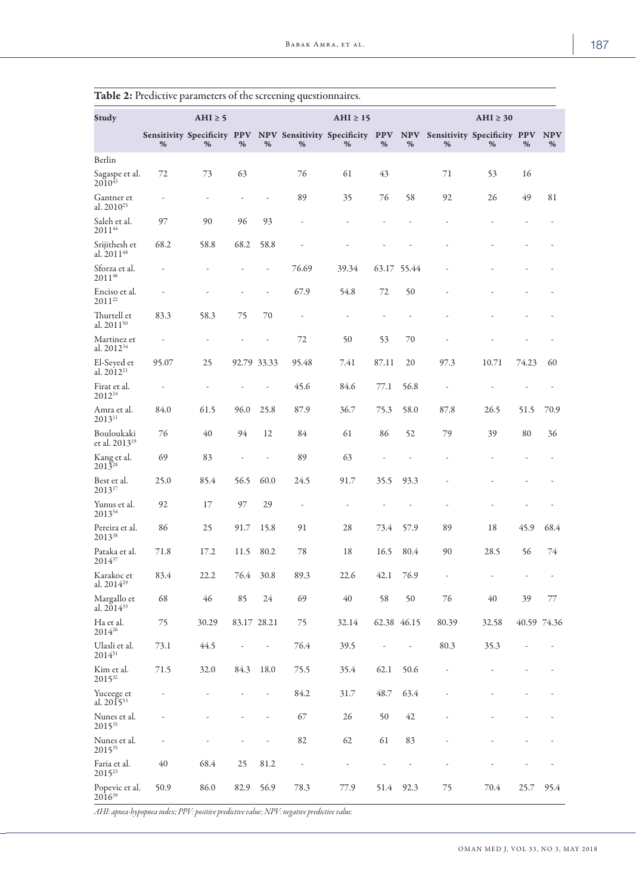| Study                                    |       | AHI $\geq$ 5 |             |      |       | $AHI \geq 15$                                                |                 |             |                                      | AHI $\geq 30$ |                          |                 |
|------------------------------------------|-------|--------------|-------------|------|-------|--------------------------------------------------------------|-----------------|-------------|--------------------------------------|---------------|--------------------------|-----------------|
|                                          | %     | %            | %           | %    | %     | Sensitivity Specificity PPV NPV Sensitivity Specificity<br>% | <b>PPV</b><br>% | %           | NPV Sensitivity Specificity PPV<br>% | %             | %                        | <b>NPV</b><br>% |
| Berlin                                   |       |              |             |      |       |                                                              |                 |             |                                      |               |                          |                 |
| Sagaspe et al.<br>$2010^{43}$            | 72    | 73           | 63          |      | 76    | 61                                                           | 43              |             | 71                                   | 53            | 16                       |                 |
| Gantner et<br>al. 2010 <sup>25</sup>     |       | ÷,           |             |      | 89    | 35                                                           | 76              | 58          | 92                                   | 26            | 49                       | 81              |
| Saleh et al.<br>$2011^{44}$              | 97    | 90           | 96          | 93   |       |                                                              |                 |             |                                      |               |                          |                 |
| Srijithesh et<br>al. $2011^{48}$         | 68.2  | 58.8         | 68.2        | 58.8 |       |                                                              |                 |             |                                      |               |                          |                 |
| Sforza et al.<br>201146                  |       |              |             |      | 76.69 | 39.34                                                        |                 | 63.17 55.44 |                                      |               |                          |                 |
| Enciso et al.<br>$2011^{22}$             |       |              |             |      | 67.9  | 54.8                                                         | 72              | 50          |                                      |               |                          |                 |
| Thurtell et<br>al. 2011 <sup>50</sup>    | 83.3  | 58.3         | 75          | 70   |       | ÷                                                            |                 |             |                                      |               |                          |                 |
| Martinez et<br>al. 2012 <sup>34</sup>    |       |              |             |      | 72    | 50                                                           | 53              | 70          |                                      |               |                          |                 |
| El-Seyed et<br>al. 2012 <sup>21</sup>    | 95.07 | 25           | 92.79 33.33 |      | 95.48 | 7.41                                                         | 87.11           | 20          | 97.3                                 | 10.71         | 74.23                    | 60              |
| Firat et al.<br>2012 <sup>24</sup>       |       | ÷,           |             | ÷,   | 45.6  | 84.6                                                         | 77.1            | 56.8        |                                      |               |                          |                 |
| Amra et al.<br>$2013^{11}$               | 84.0  | 61.5         | 96.0        | 25.8 | 87.9  | 36.7                                                         | 75.3            | 58.0        | 87.8                                 | 26.5          | 51.5                     | 70.9            |
| Bouloukaki<br>et al. 2013 <sup>19</sup>  | 76    | 40           | 94          | 12   | 84    | 61                                                           | 86              | 52          | 79                                   | 39            | 80                       | 36              |
| Kang et al.<br>$201\bar{3}^{28}$         | 69    | 83           |             |      | 89    | 63                                                           |                 |             |                                      |               |                          |                 |
| Best et al.<br>$2013^{17}$               | 25.0  | 85.4         | 56.5        | 60.0 | 24.5  | 91.7                                                         | 35.5            | 93.3        |                                      |               |                          |                 |
| Yunus et al.<br>201354                   | 92    | 17           | 97          | 29   | ÷,    | ÷,                                                           |                 |             |                                      |               |                          |                 |
| Pereira et al.<br>2013 <sup>38</sup>     | 86    | 25           | 91.7        | 15.8 | 91    | 28                                                           | 73.4            | 57.9        | 89                                   | 18            | 45.9                     | 68.4            |
| Pataka et al.<br>$2014^{37}$             | 71.8  | 17.2         | 11.5        | 80.2 | 78    | 18                                                           | 16.5            | 80.4        | 90                                   | 28.5          | 56                       | 74              |
| Karakoc et<br>al. 2014 <sup>29</sup>     | 83.4  | 22.2         | 76.4        | 30.8 | 89.3  | 22.6                                                         | 42.1            | 76.9        | $\sim$                               | $\sim$        | $\overline{\phantom{a}}$ |                 |
| Margallo et<br>al. 2014 <sup>33</sup>    | 68    | 46           | 85          | 24   | 69    | 40                                                           | 58              | 50          | 76                                   | 40            | 39                       | 77              |
| Ha et al.<br>$2014^{26}$                 | 75    | 30.29        | 83.17 28.21 |      | 75    | 32.14                                                        |                 | 62.38 46.15 | 80.39                                | 32.58         |                          | 40.59 74.36     |
| Ulasli et al.<br>$2014^{51}$             | 73.1  | 44.5         |             |      | 76.4  | 39.5                                                         |                 |             | 80.3                                 | 35.3          |                          |                 |
| Kim et al.<br>2015 <sup>32</sup>         | 71.5  | 32.0         | 84.3        | 18.0 | 75.5  | 35.4                                                         | 62.1            | 50.6        |                                      |               |                          |                 |
| Yuceege et<br>al. $2015^{53}$            |       |              |             |      | 84.2  | 31.7                                                         | 48.7            | 63.4        |                                      |               |                          |                 |
| Nunes et al.<br>201535                   |       |              |             |      | 67    | 26                                                           | 50              | 42          |                                      |               |                          |                 |
| Nunes et al.<br>201535                   |       |              |             |      | 82    | 62                                                           | 61              | 83          |                                      |               |                          |                 |
| Faria et al.<br>2015 <sup>23</sup>       | 40    | 68.4         | 25          | 81.2 | ÷,    | ÷,                                                           |                 |             |                                      |               |                          |                 |
| Popevic et al.<br>$20\overline{1}6^{39}$ | 50.9  | 86.0         | 82.9        | 56.9 | 78.3  | 77.9                                                         | 51.4            | 92.3        | 75                                   | 70.4          | 25.7                     | 95.4            |

| <b>Table 2:</b> Predictive parameters of the screening questionnaires. |
|------------------------------------------------------------------------|
|------------------------------------------------------------------------|

*AHI: apnea-hypopnea index; PPV: positive predictive value; NPV: negative predictive value.*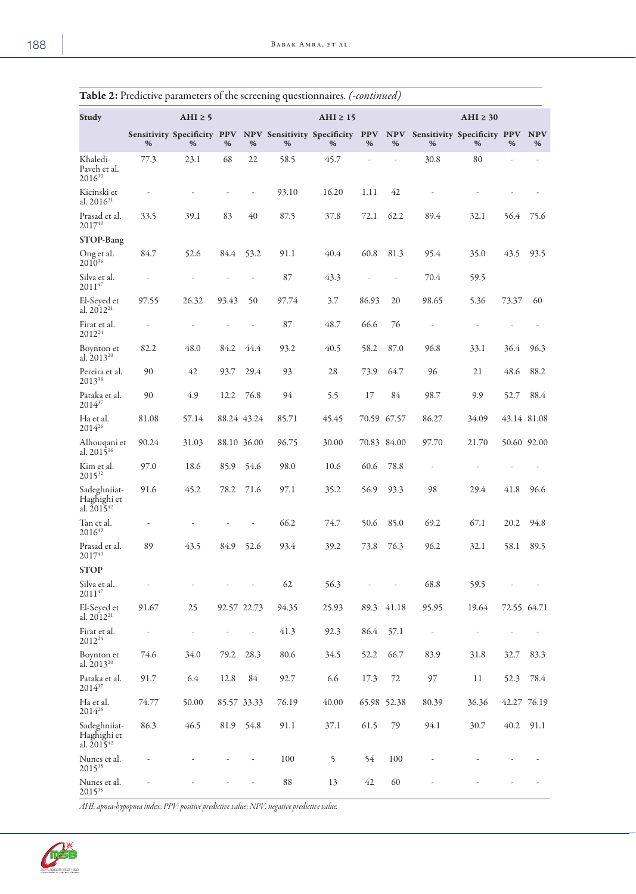|                                                |       |             |             |             | ◡<br>$\overline{\phantom{a}}$ |                                                                                                  |             |       |       |               |             |                 |
|------------------------------------------------|-------|-------------|-------------|-------------|-------------------------------|--------------------------------------------------------------------------------------------------|-------------|-------|-------|---------------|-------------|-----------------|
| Study                                          |       | AHI $\ge$ 5 |             |             |                               | $AHI \geq 15$                                                                                    |             |       |       | $AHI \geq 30$ |             |                 |
|                                                | %     | %           | %           | %           | %                             | Sensitivity Specificity PPV NPV Sensitivity Specificity PPV NPV Sensitivity Specificity PPV<br>% | %           | %     | %     | %             | %           | <b>NPV</b><br>% |
| Khaledi-<br>Paveh et al.<br>201630             | 77.3  | 23.1        | 68          | 22          | 58.5                          | 45.7                                                                                             |             |       | 30.8  | 80            |             |                 |
| Kicinski et<br>al. 2016 <sup>31</sup>          |       |             |             | L,          | 93.10                         | 16.20                                                                                            | 1.11        | 42    |       |               |             |                 |
| Prasad et al.<br>$2017^{40}$                   | 33.5  | 39.1        | 83          | 40          | 87.5                          | 37.8                                                                                             | 72.1        | 62.2  | 89.4  | 32.1          | 56.4        | 75.6            |
| <b>STOP-Bang</b>                               |       |             |             |             |                               |                                                                                                  |             |       |       |               |             |                 |
| Ong et al.<br>$2010^{36}$                      | 84.7  | 52.6        | 84.4        | 53.2        | 91.1                          | 40.4                                                                                             | 60.8        | 81.3  | 95.4  | 35.0          | 43.5        | 93.5            |
| Silva et al.<br>201147                         |       |             |             |             | 87                            | 43.3                                                                                             |             |       | 70.4  | 59.5          |             |                 |
| El-Seyed et<br>al. 2012 <sup>21</sup>          | 97.55 | 26.32       | 93.43       | 50          | 97.74                         | 3.7                                                                                              | 86.93       | 20    | 98.65 | 5.36          | 73.37       | 60              |
| Firat et al.<br>2012 <sup>24</sup>             | ÷     |             |             |             | 87                            | 48.7                                                                                             | 66.6        | 76    |       |               |             |                 |
| Boynton et<br>al. $2013^{20}$                  | 82.2  | 48.0        | 84.2        | 44.4        | 93.2                          | 40.5                                                                                             | 58.2        | 87.0  | 96.8  | 33.1          | 36.4        | 96.3            |
| Pereira et al.<br>201338                       | 90    | 42          | 93.7        | 29.4        | 93                            | 28                                                                                               | 73.9        | 64.7  | 96    | 21            | 48.6        | 88.2            |
| Pataka et al.<br>$2014^{37}$                   | 90    | 4.9         | 12.2        | 76.8        | 94                            | 5.5                                                                                              | 17          | 84    | 98.7  | 9.9           | 52.7        | 88.4            |
| Ha et al.<br>$2014^{26}$                       | 81.08 | 57.14       |             | 88.24 43.24 | 85.71                         | 45.45                                                                                            | 70.59 67.57 |       | 86.27 | 34.09         |             | 43.14 81.08     |
| Alhouqani et<br>al. $201\overline{5}^{16}$     | 90.24 | 31.03       | 88.10 36.00 |             | 96.75                         | 30.00                                                                                            | 70.83 84.00 |       | 97.70 | 21.70         |             | 50.60 92.00     |
| Kim et al.<br>2015 <sup>32</sup>               | 97.0  | 18.6        | 85.9        | 54.6        | 98.0                          | 10.6                                                                                             | 60.6        | 78.8  |       |               |             |                 |
| Sadeghniiat-<br>Haghighi et<br>al. $2015^{42}$ | 91.6  | 45.2        | 78.2        | 71.6        | 97.1                          | 35.2                                                                                             | 56.9        | 93.3  | 98    | 29.4          | 41.8        | 96.6            |
| Tan et al.<br>201649                           | L,    |             |             |             | 66.2                          | 74.7                                                                                             | 50.6        | 85.0  | 69.2  | 67.1          | 20.2        | 94.8            |
| Prasad et al.<br>201740                        | 89    | 43.5        | 84.9        | 52.6        | 93.4                          | 39.2                                                                                             | 73.8        | 76.3  | 96.2  | 32.1          | 58.1        | 89.5            |
| <b>STOP</b>                                    |       |             |             |             |                               |                                                                                                  |             |       |       |               |             |                 |
| Silva et al.<br>201147                         |       |             |             |             | 62                            | 56.3                                                                                             |             |       | 68.8  | 59.5          |             |                 |
| El-Seyed et<br>al. 2012 <sup>21</sup>          | 91.67 | 25          | 92.57 22.73 |             | 94.35                         | 25.93                                                                                            | 89.3        | 41.18 | 95.95 | 19.64         | 72.55 64.71 |                 |
| Firat et al.<br>2012 <sup>24</sup>             |       |             |             |             | 41.3                          | 92.3                                                                                             | 86.4        | 57.1  |       |               |             |                 |
| Boynton et<br>al. 2013 <sup>20</sup>           | 74.6  | 34.0        | 79.2        | 28.3        | 80.6                          | 34.5                                                                                             | 52.2        | 66.7  | 83.9  | 31.8          | 32.7        | 83.3            |
| Pataka et al.<br>201437                        | 91.7  | 6.4         | 12.8        | 84          | 92.7                          | 6.6                                                                                              | 17.3        | 72    | 97    | 11            | 52.3        | 78.4            |
| Ha et al.<br>201426                            | 74.77 | 50.00       | 85.57 33.33 |             | 76.19                         | 40.00                                                                                            | 65.98 52.38 |       | 80.39 | 36.36         |             | 42.27 76.19     |
| Sadeghniiat-<br>Haghighi et<br>al. $2015^{42}$ | 86.3  | 46.5        | 81.9 54.8   |             | 91.1                          | 37.1                                                                                             | 61.5        | 79    | 94.1  | 30.7          | 40.2        | 91.1            |
| Nunes et al.<br>201535                         |       |             |             |             | 100                           | 5                                                                                                | 54          | 100   |       |               |             |                 |
| Nunes et al.<br>201535                         |       |             |             |             | $\bf 88$                      | 13                                                                                               | 42          | 60    |       |               |             |                 |

Table 2: Predictive parameters of the screening questionnaires. *(-continued)*

*AHI: apnea-hypopnea index; PPV: positive predictive value; NPV: negative predictive value.* 

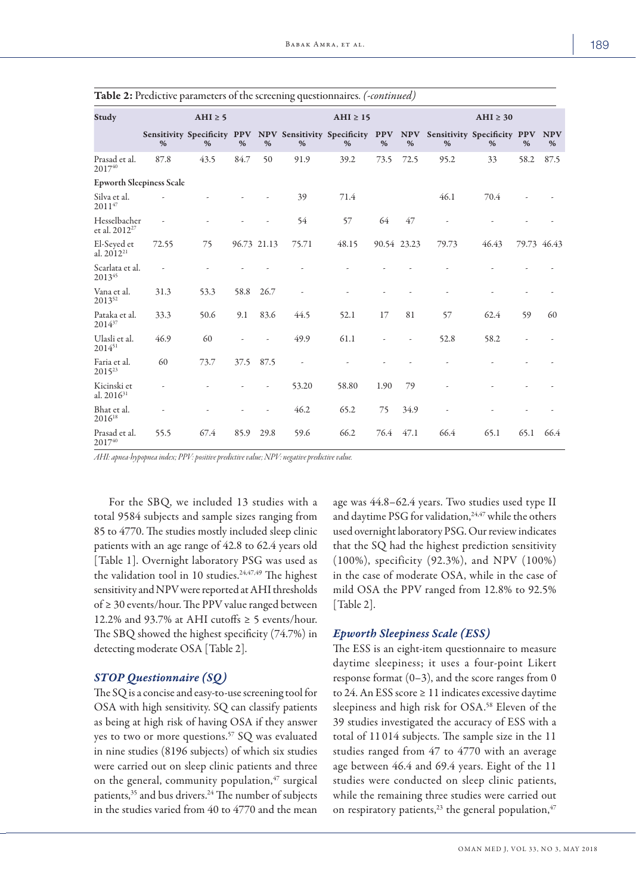|                                           | $\mathbf{r}$ |             |      |             | $\mathbf{v}$ is |                                                                                                  |      |             |       |               |      |                 |
|-------------------------------------------|--------------|-------------|------|-------------|-----------------|--------------------------------------------------------------------------------------------------|------|-------------|-------|---------------|------|-----------------|
| Study                                     |              | AHI $\ge$ 5 |      |             |                 | $AHI \geq 15$                                                                                    |      |             |       | $AHI \geq 30$ |      |                 |
|                                           | %            | %           | %    | %           | %               | Sensitivity Specificity PPV NPV Sensitivity Specificity PPV NPV Sensitivity Specificity PPV<br>% | %    | %           | %     | %             | %    | <b>NPV</b><br>% |
| Prasad et al.<br>201740                   | 87.8         | 43.5        | 84.7 | 50          | 91.9            | 39.2                                                                                             | 73.5 | 72.5        | 95.2  | 33            | 58.2 | 87.5            |
| <b>Epworth Sleepiness Scale</b>           |              |             |      |             |                 |                                                                                                  |      |             |       |               |      |                 |
| Silva et al.<br>$2011^{47}$               |              |             |      |             | 39              | 71.4                                                                                             |      |             | 46.1  | 70.4          |      |                 |
| Hesselbacher<br>et al. 2012 <sup>27</sup> |              |             |      |             | 54              | 57                                                                                               | 64   | 47          |       |               |      |                 |
| El-Seyed et<br>al. 2012 <sup>21</sup>     | 72.55        | 75          |      | 96.73 21.13 | 75.71           | 48.15                                                                                            |      | 90.54 23.23 | 79.73 | 46.43         |      | 79.73 46.43     |
| Scarlata et al.<br>201345                 |              |             |      |             |                 |                                                                                                  |      |             |       |               |      |                 |
| Vana et al.<br>201352                     | 31.3         | 53.3        | 58.8 | 26.7        |                 |                                                                                                  |      |             |       |               |      |                 |
| Pataka et al.<br>$2014^{37}$              | 33.3         | 50.6        | 9.1  | 83.6        | 44.5            | 52.1                                                                                             | 17   | 81          | 57    | 62.4          | 59   | 60              |
| Ulasli et al.<br>201451                   | 46.9         | 60          |      |             | 49.9            | 61.1                                                                                             |      | L,          | 52.8  | 58.2          |      |                 |
| Faria et al.<br>$2015^{23}$               | 60           | 73.7        | 37.5 | 87.5        | $\frac{1}{2}$   |                                                                                                  |      |             |       |               |      |                 |
| Kicinski et<br>al. $2016^{31}$            |              |             |      |             | 53.20           | 58.80                                                                                            | 1.90 | 79          |       |               |      |                 |
| Bhat et al.<br>2016 <sup>18</sup>         |              |             |      |             | 46.2            | 65.2                                                                                             | 75   | 34.9        |       |               |      |                 |
| Prasad et al.<br>201740                   | 55.5         | 67.4        | 85.9 | 29.8        | 59.6            | 66.2                                                                                             | 76.4 | 47.1        | 66.4  | 65.1          | 65.1 | 66.4            |

Table 2: Predictive parameters of the screening questionnaires. *(-continued)*

*AHI: apnea-hypopnea index; PPV: positive predictive value; NPV: negative predictive value.* 

For the SBQ, we included 13 studies with a total 9584 subjects and sample sizes ranging from 85 to 4770. The studies mostly included sleep clinic patients with an age range of 42.8 to 62.4 years old [Table 1]. Overnight laboratory PSG was used as the validation tool in 10 studies.<sup>24,47,49</sup> The highest sensitivity and NPV were reported at AHI thresholds of ≥ 30 events/hour. The PPV value ranged between 12.2% and 93.7% at AHI cutoffs  $\geq$  5 events/hour. The SBQ showed the highest specificity (74.7%) in detecting moderate OSA [Table 2].

#### *STOP Questionnaire (SQ)*

The SQ is a concise and easy-to-use screening tool for OSA with high sensitivity. SQ can classify patients as being at high risk of having OSA if they answer yes to two or more questions.<sup>57</sup> SQ was evaluated in nine studies (8196 subjects) of which six studies were carried out on sleep clinic patients and three on the general, community population, $47$  surgical patients,<sup>35</sup> and bus drivers.<sup>24</sup> The number of subjects in the studies varied from 40 to 4770 and the mean age was 44.8–62.4 years. Two studies used type II and daytime PSG for validation,<sup>24,47</sup> while the others used overnight laboratory PSG. Our review indicates that the SQ had the highest prediction sensitivity (100%), specificity (92.3%), and NPV (100%) in the case of moderate OSA, while in the case of mild OSA the PPV ranged from 12.8% to 92.5% [Table 2].

### *Epworth Sleepiness Scale (ESS)*

The ESS is an eight-item questionnaire to measure daytime sleepiness; it uses a four-point Likert response format  $(0-3)$ , and the score ranges from 0 to 24. An ESS score  $\geq$  11 indicates excessive daytime sleepiness and high risk for OSA. <sup>58</sup> Eleven of the 39 studies investigated the accuracy of ESS with a total of 11 014 subjects. The sample size in the 11 studies ranged from 47 to 4770 with an average age between 46.4 and 69.4 years. Eight of the 11 studies were conducted on sleep clinic patients, while the remaining three studies were carried out on respiratory patients, $^{23}$  the general population, $^{47}$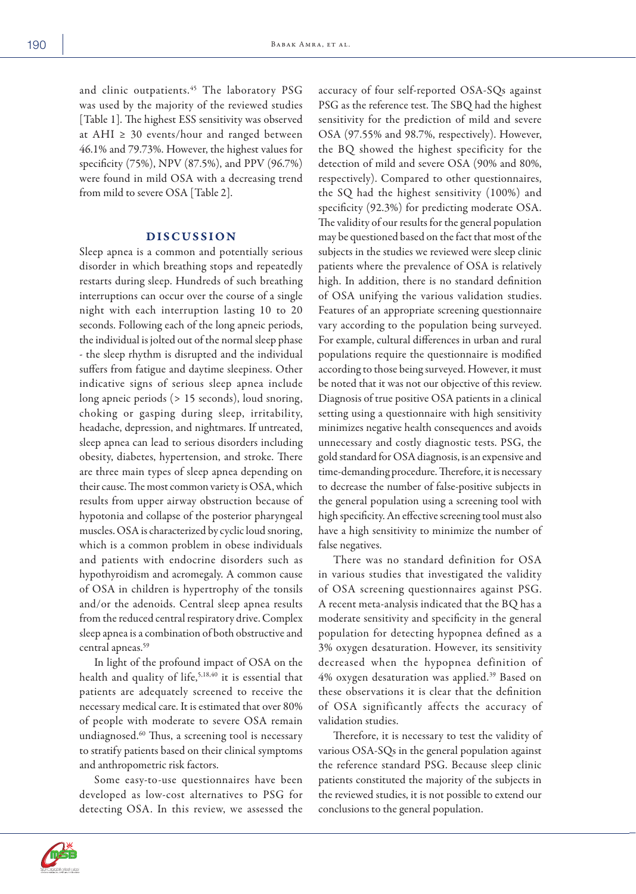and clinic outpatients.<sup>45</sup> The laboratory PSG was used by the majority of the reviewed studies [Table 1]. The highest ESS sensitivity was observed at AHI  $\geq$  30 events/hour and ranged between 46.1% and 79.73%. However, the highest values for specificity (75%), NPV (87.5%), and PPV (96.7%) were found in mild OSA with a decreasing trend from mild to severe OSA [Table 2].

#### DISCUSSION

Sleep apnea is a common and potentially serious disorder in which breathing stops and repeatedly restarts during sleep. Hundreds of such breathing interruptions can occur over the course of a single night with each interruption lasting 10 to 20 seconds. Following each of the long apneic periods, the individual is jolted out of the normal sleep phase - the sleep rhythm is disrupted and the individual suffers from fatigue and daytime sleepiness. Other indicative signs of serious sleep apnea include long apneic periods (> 15 seconds), loud snoring, choking or gasping during sleep, irritability, headache, depression, and nightmares. If untreated, sleep apnea can lead to serious disorders including obesity, diabetes, hypertension, and stroke. There are three main types of sleep apnea depending on their cause. The most common variety is OSA, which results from upper airway obstruction because of hypotonia and collapse of the posterior pharyngeal muscles. OSA is characterized by cyclic loud snoring, which is a common problem in obese individuals and patients with endocrine disorders such as hypothyroidism and acromegaly. A common cause of OSA in children is hypertrophy of the tonsils and/or the adenoids. Central sleep apnea results from the reduced central respiratory drive. Complex sleep apnea is a combination of both obstructive and central apneas.59

In light of the profound impact of OSA on the health and quality of life,<sup>5,18,40</sup> it is essential that patients are adequately screened to receive the necessary medical care. It is estimated that over 80% of people with moderate to severe OSA remain undiagnosed.60 Thus, a screening tool is necessary to stratify patients based on their clinical symptoms and anthropometric risk factors.

Some easy-to-use questionnaires have been developed as low-cost alternatives to PSG for detecting OSA. In this review, we assessed the accuracy of four self-reported OSA-SQs against PSG as the reference test. The SBQ had the highest sensitivity for the prediction of mild and severe OSA (97.55% and 98.7%, respectively). However, the BQ showed the highest specificity for the detection of mild and severe OSA (90% and 80%, respectively). Compared to other questionnaires, the SQ had the highest sensitivity (100%) and specificity (92.3%) for predicting moderate OSA. The validity of our results for the general population may be questioned based on the fact that most of the subjects in the studies we reviewed were sleep clinic patients where the prevalence of OSA is relatively high. In addition, there is no standard definition of OSA unifying the various validation studies. Features of an appropriate screening questionnaire vary according to the population being surveyed. For example, cultural differences in urban and rural populations require the questionnaire is modified according to those being surveyed. However, it must be noted that it was not our objective of this review. Diagnosis of true positive OSA patients in a clinical setting using a questionnaire with high sensitivity minimizes negative health consequences and avoids unnecessary and costly diagnostic tests. PSG, the gold standard for OSA diagnosis, is an expensive and time-demanding procedure. Therefore, it is necessary to decrease the number of false-positive subjects in the general population using a screening tool with high specificity. An effective screening tool must also have a high sensitivity to minimize the number of false negatives.

There was no standard definition for OSA in various studies that investigated the validity of OSA screening questionnaires against PSG. A recent meta-analysis indicated that the BQ has a moderate sensitivity and specificity in the general population for detecting hypopnea defined as a 3% oxygen desaturation. However, its sensitivity decreased when the hypopnea definition of 4% oxygen desaturation was applied.39 Based on these observations it is clear that the definition of OSA significantly affects the accuracy of validation studies.

Therefore, it is necessary to test the validity of various OSA-SQs in the general population against the reference standard PSG. Because sleep clinic patients constituted the majority of the subjects in the reviewed studies, it is not possible to extend our conclusions to the general population.



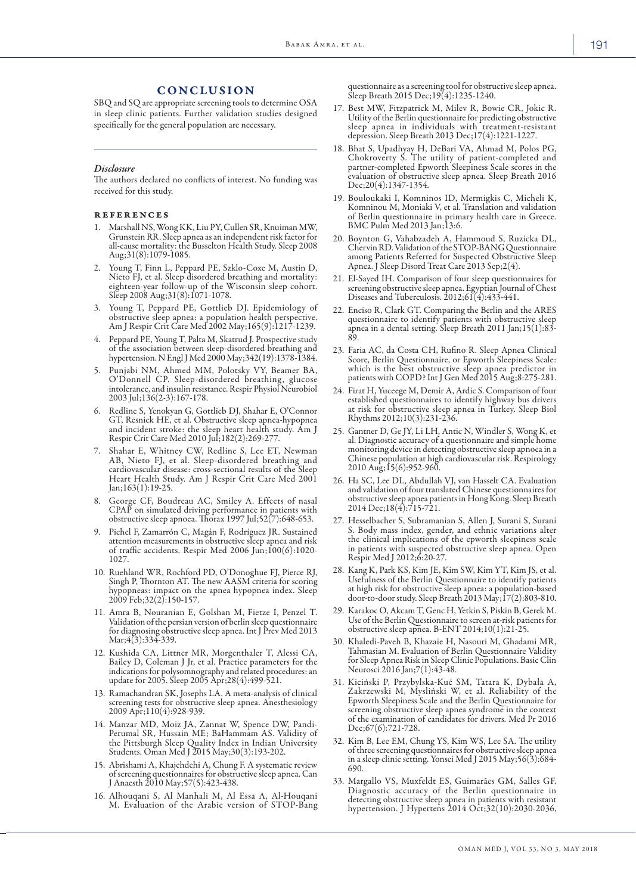#### CONCLUSION

SBQ and SQ are appropriate screening tools to determine OSA in sleep clinic patients. Further validation studies designed specifically for the general population are necessary.

#### *Disclosure*

The authors declared no conflicts of interest. No funding was received for this study.

#### references

- 1. Marshall NS, Wong KK, Liu PY, Cullen SR, Knuiman MW, Grunstein RR. Sleep apnea as an independent risk factor for all-cause mortality: the Busselton Health Study. Sleep 2008 Aug;31(8):1079-1085.
- 2. Young T, Finn L, Peppard PE, Szklo-Coxe M, Austin D, Nieto FJ, et al. Sleep disordered breathing and mortality: eighteen-year follow-up of the Wisconsin sleep cohort. Sleep 2008 Aug;31(8):1071-1078.
- 3. Young T, Peppard PE, Gottlieb DJ. Epidemiology of obstructive sleep apnea: a population health perspective. Am J Respir Crit Care Med 2002 May;165(9):1217-1239.
- 4. Peppard PE, Young T, Palta M, Skatrud J. Prospective study of the association between sleep-disordered breathing and hypertension. NEngl J Med 2000 May;342(19):1378-1384.
- 5. Punjabi NM, Ahmed MM, Polotsky VY, Beamer BA, O'Donnell CP. Sleep-disordered breathing, glucose intolerance, and insulin resistance. Respir Physiol Neurobiol 2003 Jul; 136(2-3):167-178.
- 6. Redline S, Yenokyan G, Gottlieb DJ, Shahar E, O'Connor and incident stroke: the sleep heart health study. Am J Respir Crit Care Med 2010 Jul;182(2):269-277.
- 7. Shahar E, Whitney CW, Redline S, Lee ET, Newman AB, Nieto FJ, et al. Sleep-disordered breathing and cardiovascular disease: cross-sectional results of the Sleep Heart Health Study. Am J Respir Crit Care Med 2001 Jan;163(1):19-25.
- 8. George CF, Boudreau AC, Smiley A. Effects of nasal CPAP on simulated driving performance in patients with obstructive sleep apnoea. Thorax 1997 Jul;52(7):648-653.
- 9. Pichel F, Zamarrón C, Magán F, Rodríguez JR. Sustained attention measurements in obstructive sleep apnea and risk of traffic accidents. Respir Med 2006 Jun;100(6):1020- 1027.
- 10. Ruehland WR, Rochford PD, O'Donoghue FJ, Pierce RJ, Singh P, Thornton AT. The new AASM criteria for scoring hypopneas: impact on the apnea hypopnea index. Sleep 2009 Feb;32(2):150-157.
- 11. Amra B, Nouranian E, Golshan M, Fietze I, Penzel T. Validation of the persian version of berlin sleep questionnaire for diagnosing obstructive sleep apnea. Int J Prev Med 2013 Mar;4(3):334-339.
- 12. Kushida CA, Littner MR, Morgenthaler T, Alessi CA, Bailey D, Coleman J Jr, et al. Practice parameters for the indications for polysomnography and related procedures: an update for 2005. Sleep 2005 Apr;28(4):499-521.
- 13. Ramachandran SK, Josephs LA. A meta-analysis of clinical screening tests for obstructive sleep apnea. Anesthesiology 2009 Apr;110(4):928-939.
- 14. Manzar MD, Moiz JA, Zannat W, Spence DW, Pandi-Perumal SR, Hussain ME; BaHammam AS. Validity of the Pittsburgh Sleep Quality Index in Indian University Students. Oman Med J 2015 May;30(3):193-202.
- 15. Abrishami A, Khajehdehi A, Chung F. A systematic review of screening questionnaires for obstructive sleep apnea. Can J Anaesth 2010 May;57(5):423-438.
- 16. Alhouqani S, Al Manhali M, Al Essa A, Al-Houqani M. Evaluation of the Arabic version of STOP-Bang

questionnaire as a screening tool for obstructive sleep apnea. Sleep Breath 2015 Dec;19(4):1235-1240.

- 17. Best MW, Fitzpatrick M, Milev R, Bowie CR, Jokic R. Utility of the Berlin questionnaire for predicting obstructive sleep apnea in individuals with treatment-resistant depression. Sleep Breath 2013 Dec;17(4):1221-1227.
- 18. Bhat S, Upadhyay H, DeBari VA, Ahmad M, Polos PG, Chokroverty S. The utility of patient-completed and evaluation of obstructive sleep apnea. Sleep Breath 2016 Dec;20(4):1347-1354.
- 19. Bouloukaki I, Komninos ID, Mermigkis C, Micheli K, Komninou M, Moniaki V, et al. Translation and validation of Berlin questionnaire in primary health care in Greece. BMC Pulm Med 2013 Jan;13:6.
- 20. Boynton G, Vahabzadeh A, Hammoud S, Ruzicka DL, Chervin RD. Validation of the STOP-BANG Questionnaire among Patients Referred for Suspected Obstructive Sleep Apnea. J Sleep Disord Treat Care 2013 Sep;2(4).
- 21. El-Sayed IH. Comparison of four sleep questionnaires for screening obstructive sleep apnea. Egyptian Journal of Chest Diseases and Tuberculosis. 2012;61(4):433-441.
- 22. Enciso R, Clark GT. Comparing the Berlin and the ARES questionnaire to identify patients with obstructive sleep apnea in a dental setting. Sleep Breath 2011 Jan;15(1):83- 89.
- 23. Faria AC, da Costa CH, Rufino R. Sleep Apnea Clinical Score, Berlin Questionnaire, or Epworth Sleepiness Scale: which is the best obstructive sleep apnea predictor in patients with COPD? Int J Gen Med 2015 Aug;8:275-281.
- 24. Firat H, Yuceege M, Demir A, Ardic S. Comparison of four established questionnaires to identify highway bus drivers at risk for obstructive sleep apnea in Turkey. Sleep Biol Rhythms 2012;10(3):231-236.
- 25. Gantner D, Ge JY, Li LH, Antic N, Windler S, Wong K, et al. Diagnostic accuracy of a questionnaire and simple home monitoring device in detecting obstructive sleep apnoea in a Chinese population at high cardiovascular risk. Respirology 2010 Aug;15(6):952-960.
- 26. Ha SC, Lee DL, Abdullah VJ, van Hasselt CA. Evaluation and validation of four translated Chinese questionnaires for obstructive sleep apnea patients in Hong Kong. Sleep Breath 2014 Dec;18(4):715-721.
- 27. Hesselbacher S, Subramanian S, Allen J, Surani S, Surani S. Body mass index, gender, and ethnic variations alter the clinical implications of the epworth sleepiness scale in patients with suspected obstructive sleep apnea. Open Respir Med J 2012;6:20-27.
- 28. Kang K, Park KS, Kim JE, Kim SW, Kim YT, Kim JS, et al. Usefulness of the Berlin Questionnaire to identify patients at high risk for obstructive sleep apnea: a population-based door-to-door study. Sleep Breath 2013 May;17(2):803-810.
- 29. Karakoc O, Akcam T, Genc H, Yetkin S, Piskin B, Gerek M. Use of the Berlin Questionnaire to screen at-risk patients for obstructive sleep apnea. B-ENT 2014;10(1):21-25.
- 30. Khaledi-Paveh B, Khazaie H, Nasouri M, Ghadami MR, Tahmasian M. Evaluation of Berlin Questionnaire Validity for Sleep Apnea Risk in Sleep Clinic Populations. Basic Clin Neurosci 2016 Jan;7(1):43-48.
- 31. Kiciński P, Przybylska-Kuć SM, Tatara K, Dybała A, Zakrzewski M, Mysliński W, et al. Reliability of the Epworth Sleepiness Scale and the Berlin Questionnaire for screening obstructive sleep apnea syndrome in the context of the examination of candidates for drivers. Med Pr 2016 Dec;67(6):721-728.
- 32. Kim B, Lee EM, Chung YS, Kim WS, Lee SA. The utility of three screening questionnaires for obstructive sleep apnea in a sleep clinic setting. Yonsei Med J 2015 May;56(3):684- 690.
- 33. Margallo VS, Muxfeldt ES, Guimarães GM, Salles GF. Diagnostic accuracy of the Berlin questionnaire in detecting obstructive sleep apnea in patients with resistant hypertension. J Hypertens 2014 Oct;32(10):2030-2036,